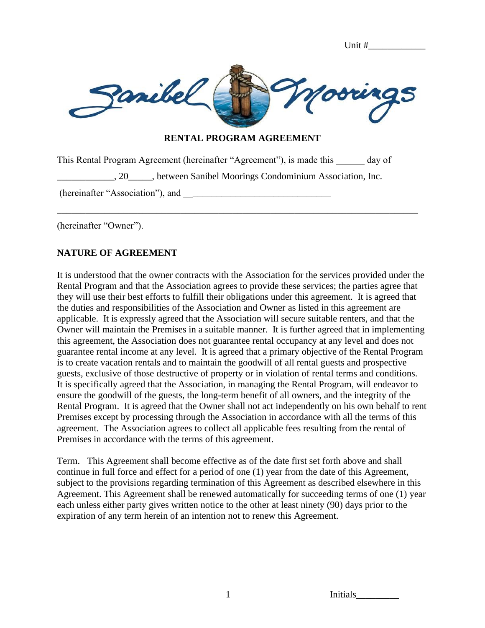| Unit # |  |
|--------|--|
|--------|--|



### **RENTAL PROGRAM AGREEMENT**

This Rental Program Agreement (hereinafter "Agreement"), is made this \_\_\_\_\_\_ day of

\_\_\_\_\_\_\_\_\_\_\_\_, 20\_\_\_\_\_, between Sanibel Moorings Condominium Association, Inc.

\_\_\_\_\_\_\_\_\_\_\_\_\_\_\_\_\_\_\_\_\_\_\_\_\_\_\_\_\_\_\_\_\_\_\_\_\_\_\_\_\_\_\_\_\_\_\_\_\_\_\_\_\_\_\_\_\_\_\_\_\_\_\_\_\_\_\_\_\_\_\_\_\_\_\_\_

(hereinafter "Association"), and \_\_\_\_\_\_\_\_\_\_\_\_\_\_\_\_\_\_\_\_\_\_\_\_\_\_\_\_\_\_\_

(hereinafter "Owner").

## **NATURE OF AGREEMENT**

It is understood that the owner contracts with the Association for the services provided under the Rental Program and that the Association agrees to provide these services; the parties agree that they will use their best efforts to fulfill their obligations under this agreement. It is agreed that the duties and responsibilities of the Association and Owner as listed in this agreement are applicable. It is expressly agreed that the Association will secure suitable renters, and that the Owner will maintain the Premises in a suitable manner. It is further agreed that in implementing this agreement, the Association does not guarantee rental occupancy at any level and does not guarantee rental income at any level. It is agreed that a primary objective of the Rental Program is to create vacation rentals and to maintain the goodwill of all rental guests and prospective guests, exclusive of those destructive of property or in violation of rental terms and conditions. It is specifically agreed that the Association, in managing the Rental Program, will endeavor to ensure the goodwill of the guests, the long-term benefit of all owners, and the integrity of the Rental Program. It is agreed that the Owner shall not act independently on his own behalf to rent Premises except by processing through the Association in accordance with all the terms of this agreement. The Association agrees to collect all applicable fees resulting from the rental of Premises in accordance with the terms of this agreement.

Term. This Agreement shall become effective as of the date first set forth above and shall continue in full force and effect for a period of one (1) year from the date of this Agreement, subject to the provisions regarding termination of this Agreement as described elsewhere in this Agreement. This Agreement shall be renewed automatically for succeeding terms of one (1) year each unless either party gives written notice to the other at least ninety (90) days prior to the expiration of any term herein of an intention not to renew this Agreement.

1 Initials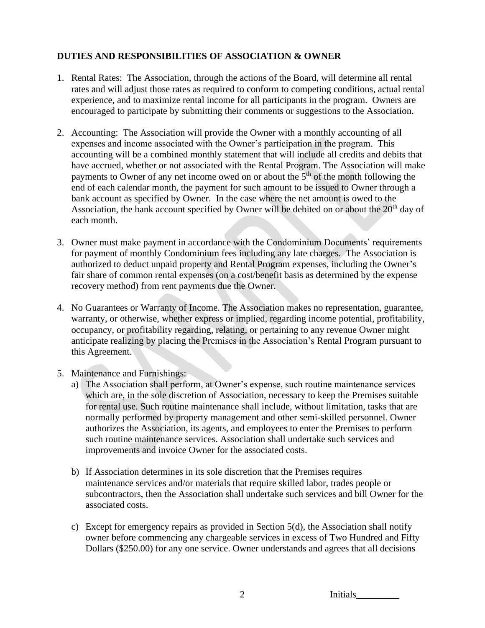# **DUTIES AND RESPONSIBILITIES OF ASSOCIATION & OWNER**

- 1. Rental Rates: The Association, through the actions of the Board, will determine all rental rates and will adjust those rates as required to conform to competing conditions, actual rental experience, and to maximize rental income for all participants in the program. Owners are encouraged to participate by submitting their comments or suggestions to the Association.
- 2. Accounting: The Association will provide the Owner with a monthly accounting of all expenses and income associated with the Owner's participation in the program. This accounting will be a combined monthly statement that will include all credits and debits that have accrued, whether or not associated with the Rental Program. The Association will make payments to Owner of any net income owed on or about the  $5<sup>th</sup>$  of the month following the end of each calendar month, the payment for such amount to be issued to Owner through a bank account as specified by Owner. In the case where the net amount is owed to the Association, the bank account specified by Owner will be debited on or about the  $20<sup>th</sup>$  day of each month.
- 3. Owner must make payment in accordance with the Condominium Documents' requirements for payment of monthly Condominium fees including any late charges. The Association is authorized to deduct unpaid property and Rental Program expenses, including the Owner's fair share of common rental expenses (on a cost/benefit basis as determined by the expense recovery method) from rent payments due the Owner.
- 4. No Guarantees or Warranty of Income. The Association makes no representation, guarantee, warranty, or otherwise, whether express or implied, regarding income potential, profitability, occupancy, or profitability regarding, relating, or pertaining to any revenue Owner might anticipate realizing by placing the Premises in the Association's Rental Program pursuant to this Agreement.
- 5. Maintenance and Furnishings:
	- a) The Association shall perform, at Owner's expense, such routine maintenance services which are, in the sole discretion of Association, necessary to keep the Premises suitable for rental use. Such routine maintenance shall include, without limitation, tasks that are normally performed by property management and other semi-skilled personnel. Owner authorizes the Association, its agents, and employees to enter the Premises to perform such routine maintenance services. Association shall undertake such services and improvements and invoice Owner for the associated costs.
	- b) If Association determines in its sole discretion that the Premises requires maintenance services and/or materials that require skilled labor, trades people or subcontractors, then the Association shall undertake such services and bill Owner for the associated costs.
	- c) Except for emergency repairs as provided in Section 5(d), the Association shall notify owner before commencing any chargeable services in excess of Two Hundred and Fifty Dollars (\$250.00) for any one service. Owner understands and agrees that all decisions

2 Initials\_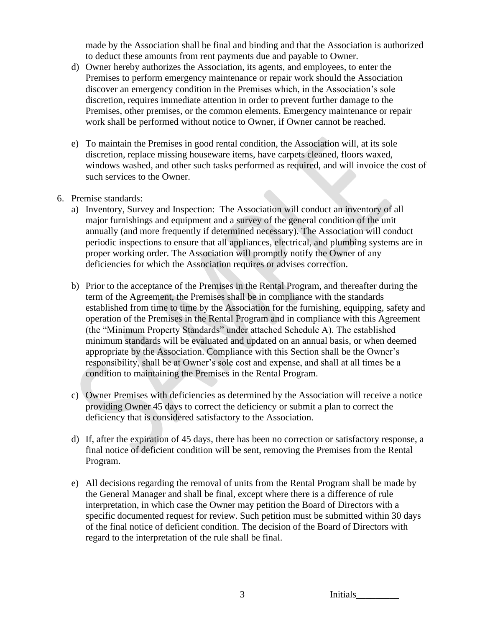made by the Association shall be final and binding and that the Association is authorized to deduct these amounts from rent payments due and payable to Owner.

- d) Owner hereby authorizes the Association, its agents, and employees, to enter the Premises to perform emergency maintenance or repair work should the Association discover an emergency condition in the Premises which, in the Association's sole discretion, requires immediate attention in order to prevent further damage to the Premises, other premises, or the common elements. Emergency maintenance or repair work shall be performed without notice to Owner, if Owner cannot be reached.
- e) To maintain the Premises in good rental condition, the Association will, at its sole discretion, replace missing houseware items, have carpets cleaned, floors waxed, windows washed, and other such tasks performed as required, and will invoice the cost of such services to the Owner.
- 6. Premise standards:
	- a) Inventory, Survey and Inspection: The Association will conduct an inventory of all major furnishings and equipment and a survey of the general condition of the unit annually (and more frequently if determined necessary). The Association will conduct periodic inspections to ensure that all appliances, electrical, and plumbing systems are in proper working order. The Association will promptly notify the Owner of any deficiencies for which the Association requires or advises correction.
	- b) Prior to the acceptance of the Premises in the Rental Program, and thereafter during the term of the Agreement, the Premises shall be in compliance with the standards established from time to time by the Association for the furnishing, equipping, safety and operation of the Premises in the Rental Program and in compliance with this Agreement (the "Minimum Property Standards" under attached Schedule A). The established minimum standards will be evaluated and updated on an annual basis, or when deemed appropriate by the Association. Compliance with this Section shall be the Owner's responsibility, shall be at Owner's sole cost and expense, and shall at all times be a condition to maintaining the Premises in the Rental Program.
	- c) Owner Premises with deficiencies as determined by the Association will receive a notice providing Owner 45 days to correct the deficiency or submit a plan to correct the deficiency that is considered satisfactory to the Association.
	- d) If, after the expiration of 45 days, there has been no correction or satisfactory response, a final notice of deficient condition will be sent, removing the Premises from the Rental Program.
	- e) All decisions regarding the removal of units from the Rental Program shall be made by the General Manager and shall be final, except where there is a difference of rule interpretation, in which case the Owner may petition the Board of Directors with a specific documented request for review. Such petition must be submitted within 30 days of the final notice of deficient condition. The decision of the Board of Directors with regard to the interpretation of the rule shall be final.

3 Initials\_\_\_\_\_\_\_\_\_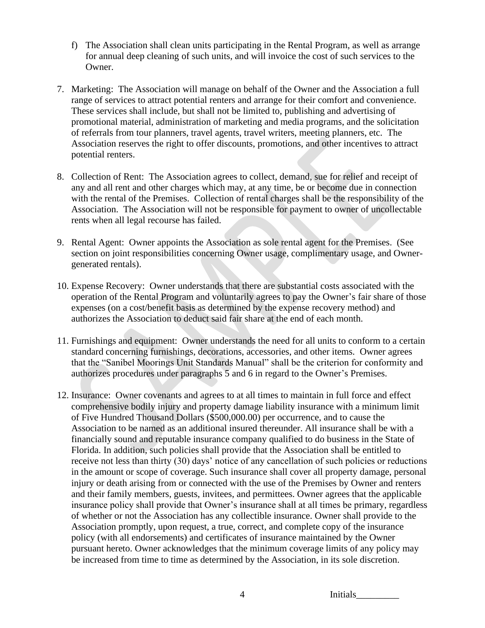- f) The Association shall clean units participating in the Rental Program, as well as arrange for annual deep cleaning of such units, and will invoice the cost of such services to the Owner.
- 7. Marketing: The Association will manage on behalf of the Owner and the Association a full range of services to attract potential renters and arrange for their comfort and convenience. These services shall include, but shall not be limited to, publishing and advertising of promotional material, administration of marketing and media programs, and the solicitation of referrals from tour planners, travel agents, travel writers, meeting planners, etc. The Association reserves the right to offer discounts, promotions, and other incentives to attract potential renters.
- 8. Collection of Rent: The Association agrees to collect, demand, sue for relief and receipt of any and all rent and other charges which may, at any time, be or become due in connection with the rental of the Premises. Collection of rental charges shall be the responsibility of the Association. The Association will not be responsible for payment to owner of uncollectable rents when all legal recourse has failed.
- 9. Rental Agent: Owner appoints the Association as sole rental agent for the Premises. (See section on joint responsibilities concerning Owner usage, complimentary usage, and Ownergenerated rentals).
- 10. Expense Recovery: Owner understands that there are substantial costs associated with the operation of the Rental Program and voluntarily agrees to pay the Owner's fair share of those expenses (on a cost/benefit basis as determined by the expense recovery method) and authorizes the Association to deduct said fair share at the end of each month.
- 11. Furnishings and equipment: Owner understands the need for all units to conform to a certain standard concerning furnishings, decorations, accessories, and other items. Owner agrees that the "Sanibel Moorings Unit Standards Manual" shall be the criterion for conformity and authorizes procedures under paragraphs 5 and 6 in regard to the Owner's Premises.
- 12. Insurance: Owner covenants and agrees to at all times to maintain in full force and effect comprehensive bodily injury and property damage liability insurance with a minimum limit of Five Hundred Thousand Dollars (\$500,000.00) per occurrence, and to cause the Association to be named as an additional insured thereunder. All insurance shall be with a financially sound and reputable insurance company qualified to do business in the State of Florida. In addition, such policies shall provide that the Association shall be entitled to receive not less than thirty (30) days' notice of any cancellation of such policies or reductions in the amount or scope of coverage. Such insurance shall cover all property damage, personal injury or death arising from or connected with the use of the Premises by Owner and renters and their family members, guests, invitees, and permittees. Owner agrees that the applicable insurance policy shall provide that Owner's insurance shall at all times be primary, regardless of whether or not the Association has any collectible insurance. Owner shall provide to the Association promptly, upon request, a true, correct, and complete copy of the insurance policy (with all endorsements) and certificates of insurance maintained by the Owner pursuant hereto. Owner acknowledges that the minimum coverage limits of any policy may be increased from time to time as determined by the Association, in its sole discretion.

4 Initials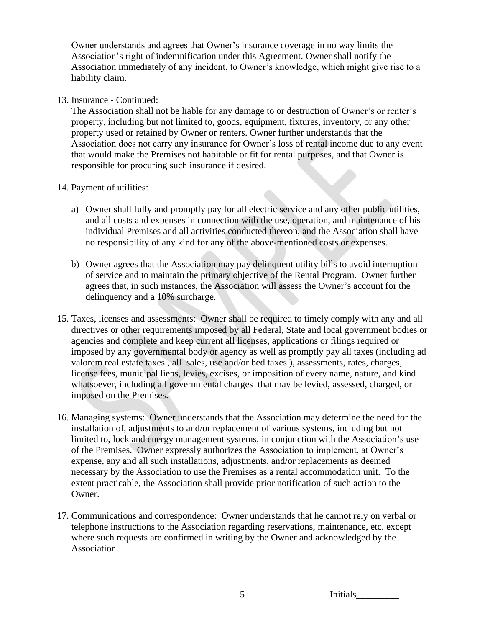Owner understands and agrees that Owner's insurance coverage in no way limits the Association's right of indemnification under this Agreement. Owner shall notify the Association immediately of any incident, to Owner's knowledge, which might give rise to a liability claim.

### 13. Insurance - Continued:

The Association shall not be liable for any damage to or destruction of Owner's or renter's property, including but not limited to, goods, equipment, fixtures, inventory, or any other property used or retained by Owner or renters. Owner further understands that the Association does not carry any insurance for Owner's loss of rental income due to any event that would make the Premises not habitable or fit for rental purposes, and that Owner is responsible for procuring such insurance if desired.

### 14. Payment of utilities:

- a) Owner shall fully and promptly pay for all electric service and any other public utilities, and all costs and expenses in connection with the use, operation, and maintenance of his individual Premises and all activities conducted thereon, and the Association shall have no responsibility of any kind for any of the above-mentioned costs or expenses.
- b) Owner agrees that the Association may pay delinquent utility bills to avoid interruption of service and to maintain the primary objective of the Rental Program. Owner further agrees that, in such instances, the Association will assess the Owner's account for the delinquency and a 10% surcharge.
- 15. Taxes, licenses and assessments: Owner shall be required to timely comply with any and all directives or other requirements imposed by all Federal, State and local government bodies or agencies and complete and keep current all licenses, applications or filings required or imposed by any governmental body or agency as well as promptly pay all taxes (including ad valorem real estate taxes , all sales, use and/or bed taxes ), assessments, rates, charges, license fees, municipal liens, levies, excises, or imposition of every name, nature, and kind whatsoever, including all governmental charges that may be levied, assessed, charged, or imposed on the Premises.
- 16. Managing systems: Owner understands that the Association may determine the need for the installation of, adjustments to and/or replacement of various systems, including but not limited to, lock and energy management systems, in conjunction with the Association's use of the Premises. Owner expressly authorizes the Association to implement, at Owner's expense, any and all such installations, adjustments, and/or replacements as deemed necessary by the Association to use the Premises as a rental accommodation unit. To the extent practicable, the Association shall provide prior notification of such action to the Owner.
- 17. Communications and correspondence: Owner understands that he cannot rely on verbal or telephone instructions to the Association regarding reservations, maintenance, etc. except where such requests are confirmed in writing by the Owner and acknowledged by the Association.

5 Initials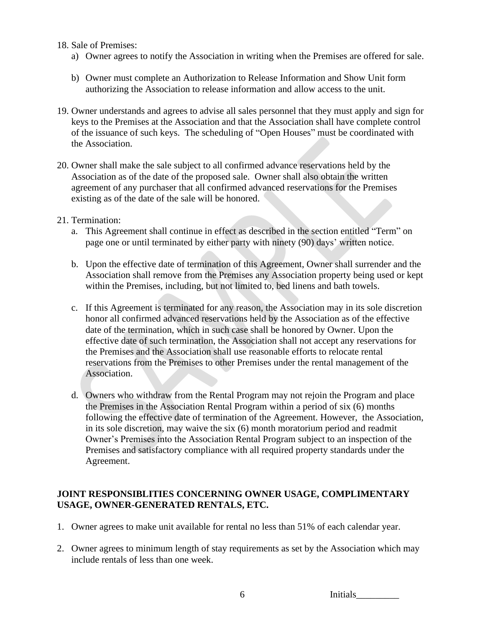#### 18. Sale of Premises:

- a) Owner agrees to notify the Association in writing when the Premises are offered for sale.
- b) Owner must complete an Authorization to Release Information and Show Unit form authorizing the Association to release information and allow access to the unit.
- 19. Owner understands and agrees to advise all sales personnel that they must apply and sign for keys to the Premises at the Association and that the Association shall have complete control of the issuance of such keys. The scheduling of "Open Houses" must be coordinated with the Association.
- 20. Owner shall make the sale subject to all confirmed advance reservations held by the Association as of the date of the proposed sale. Owner shall also obtain the written agreement of any purchaser that all confirmed advanced reservations for the Premises existing as of the date of the sale will be honored.
- 21. Termination:
	- a. This Agreement shall continue in effect as described in the section entitled "Term" on page one or until terminated by either party with ninety (90) days' written notice.
	- b. Upon the effective date of termination of this Agreement, Owner shall surrender and the Association shall remove from the Premises any Association property being used or kept within the Premises, including, but not limited to, bed linens and bath towels.
	- c. If this Agreement is terminated for any reason, the Association may in its sole discretion honor all confirmed advanced reservations held by the Association as of the effective date of the termination, which in such case shall be honored by Owner. Upon the effective date of such termination, the Association shall not accept any reservations for the Premises and the Association shall use reasonable efforts to relocate rental reservations from the Premises to other Premises under the rental management of the Association.
	- d. Owners who withdraw from the Rental Program may not rejoin the Program and place the Premises in the Association Rental Program within a period of six (6) months following the effective date of termination of the Agreement. However, the Association, in its sole discretion, may waive the six (6) month moratorium period and readmit Owner's Premises into the Association Rental Program subject to an inspection of the Premises and satisfactory compliance with all required property standards under the Agreement.

### **JOINT RESPONSIBLITIES CONCERNING OWNER USAGE, COMPLIMENTARY USAGE, OWNER-GENERATED RENTALS, ETC.**

- 1. Owner agrees to make unit available for rental no less than 51% of each calendar year.
- 2. Owner agrees to minimum length of stay requirements as set by the Association which may include rentals of less than one week.

| 6 | Initials |
|---|----------|
|   |          |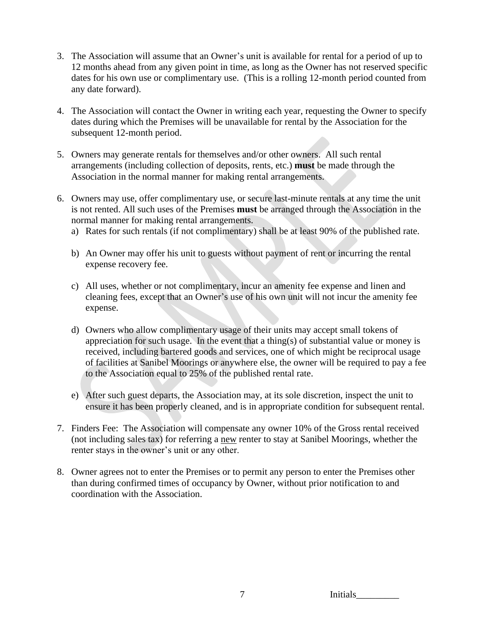- 3. The Association will assume that an Owner's unit is available for rental for a period of up to 12 months ahead from any given point in time, as long as the Owner has not reserved specific dates for his own use or complimentary use. (This is a rolling 12-month period counted from any date forward).
- 4. The Association will contact the Owner in writing each year, requesting the Owner to specify dates during which the Premises will be unavailable for rental by the Association for the subsequent 12-month period.
- 5. Owners may generate rentals for themselves and/or other owners. All such rental arrangements (including collection of deposits, rents, etc.) **must** be made through the Association in the normal manner for making rental arrangements.
- 6. Owners may use, offer complimentary use, or secure last-minute rentals at any time the unit is not rented. All such uses of the Premises **must** be arranged through the Association in the normal manner for making rental arrangements.
	- a) Rates for such rentals (if not complimentary) shall be at least 90% of the published rate.
	- b) An Owner may offer his unit to guests without payment of rent or incurring the rental expense recovery fee.
	- c) All uses, whether or not complimentary, incur an amenity fee expense and linen and cleaning fees, except that an Owner's use of his own unit will not incur the amenity fee expense.
	- d) Owners who allow complimentary usage of their units may accept small tokens of appreciation for such usage. In the event that a thing(s) of substantial value or money is received, including bartered goods and services, one of which might be reciprocal usage of facilities at Sanibel Moorings or anywhere else, the owner will be required to pay a fee to the Association equal to 25% of the published rental rate.
	- e) After such guest departs, the Association may, at its sole discretion, inspect the unit to ensure it has been properly cleaned, and is in appropriate condition for subsequent rental.
- 7. Finders Fee: The Association will compensate any owner 10% of the Gross rental received (not including sales tax) for referring a new renter to stay at Sanibel Moorings, whether the renter stays in the owner's unit or any other.
- 8. Owner agrees not to enter the Premises or to permit any person to enter the Premises other than during confirmed times of occupancy by Owner, without prior notification to and coordination with the Association.

7 Initials\_\_\_\_\_\_\_\_\_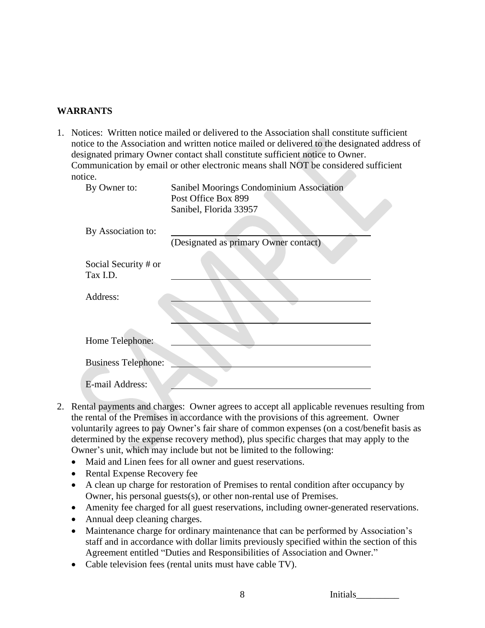### **WARRANTS**

1. Notices: Written notice mailed or delivered to the Association shall constitute sufficient notice to the Association and written notice mailed or delivered to the designated address of designated primary Owner contact shall constitute sufficient notice to Owner. Communication by email or other electronic means shall NOT be considered sufficient notice.

| By Owner to:                     | Sanibel Moorings Condominium Association<br>Post Office Box 899<br>Sanibel, Florida 33957 |
|----------------------------------|-------------------------------------------------------------------------------------------|
| By Association to:               | (Designated as primary Owner contact)                                                     |
| Social Security # or<br>Tax I.D. |                                                                                           |
| Address:                         |                                                                                           |
|                                  |                                                                                           |
| Home Telephone:                  |                                                                                           |
| <b>Business Telephone:</b>       |                                                                                           |
| E-mail Address:                  |                                                                                           |

- 2. Rental payments and charges: Owner agrees to accept all applicable revenues resulting from the rental of the Premises in accordance with the provisions of this agreement. Owner voluntarily agrees to pay Owner's fair share of common expenses (on a cost/benefit basis as determined by the expense recovery method), plus specific charges that may apply to the Owner's unit, which may include but not be limited to the following:
	- Maid and Linen fees for all owner and guest reservations.
	- Rental Expense Recovery fee
	- A clean up charge for restoration of Premises to rental condition after occupancy by Owner, his personal guests(s), or other non-rental use of Premises.
	- Amenity fee charged for all guest reservations, including owner-generated reservations.
	- Annual deep cleaning charges.
	- Maintenance charge for ordinary maintenance that can be performed by Association's staff and in accordance with dollar limits previously specified within the section of this Agreement entitled "Duties and Responsibilities of Association and Owner."
	- Cable television fees (rental units must have cable TV).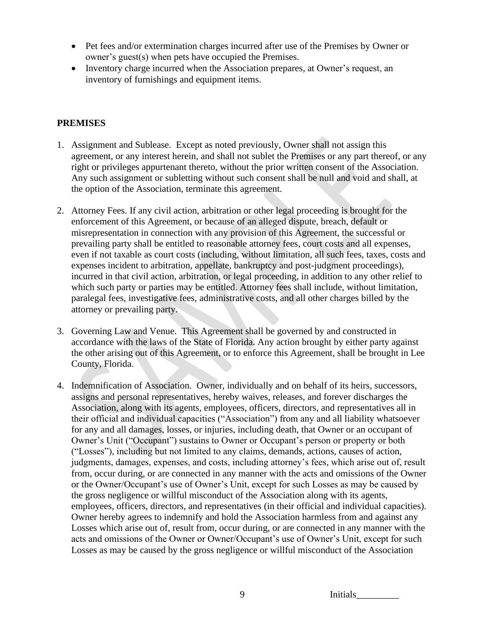- Pet fees and/or extermination charges incurred after use of the Premises by Owner or owner's guest(s) when pets have occupied the Premises.
- Inventory charge incurred when the Association prepares, at Owner's request, an inventory of furnishings and equipment items.

## **PREMISES**

- 1. Assignment and Sublease. Except as noted previously, Owner shall not assign this agreement, or any interest herein, and shall not sublet the Premises or any part thereof, or any right or privileges appurtenant thereto, without the prior written consent of the Association. Any such assignment or subletting without such consent shall be null and void and shall, at the option of the Association, terminate this agreement.
- 2. Attorney Fees. If any civil action, arbitration or other legal proceeding is brought for the enforcement of this Agreement, or because of an alleged dispute, breach, default or misrepresentation in connection with any provision of this Agreement, the successful or prevailing party shall be entitled to reasonable attorney fees, court costs and all expenses, even if not taxable as court costs (including, without limitation, all such fees, taxes, costs and expenses incident to arbitration, appellate, bankruptcy and post-judgment proceedings), incurred in that civil action, arbitration, or legal proceeding, in addition to any other relief to which such party or parties may be entitled. Attorney fees shall include, without limitation, paralegal fees, investigative fees, administrative costs, and all other charges billed by the attorney or prevailing party.
- 3. Governing Law and Venue. This Agreement shall be governed by and constructed in accordance with the laws of the State of Florida. Any action brought by either party against the other arising out of this Agreement, or to enforce this Agreement, shall be brought in Lee County, Florida.
- 4. Indemnification of Association. Owner, individually and on behalf of its heirs, successors, assigns and personal representatives, hereby waives, releases, and forever discharges the Association, along with its agents, employees, officers, directors, and representatives all in their official and individual capacities ("Association") from any and all liability whatsoever for any and all damages, losses, or injuries, including death, that Owner or an occupant of Owner's Unit ("Occupant") sustains to Owner or Occupant's person or property or both ("Losses"), including but not limited to any claims, demands, actions, causes of action, judgments, damages, expenses, and costs, including attorney's fees, which arise out of, result from, occur during, or are connected in any manner with the acts and omissions of the Owner or the Owner/Occupant's use of Owner's Unit, except for such Losses as may be caused by the gross negligence or willful misconduct of the Association along with its agents, employees, officers, directors, and representatives (in their official and individual capacities). Owner hereby agrees to indemnify and hold the Association harmless from and against any Losses which arise out of, result from, occur during, or are connected in any manner with the acts and omissions of the Owner or Owner/Occupant's use of Owner's Unit, except for such Losses as may be caused by the gross negligence or willful misconduct of the Association

9 Initials\_\_\_\_\_\_\_\_\_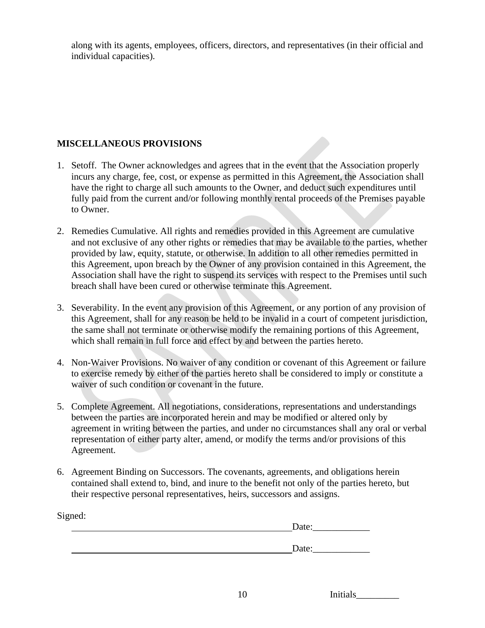along with its agents, employees, officers, directors, and representatives (in their official and individual capacities).

## **MISCELLANEOUS PROVISIONS**

- 1. Setoff. The Owner acknowledges and agrees that in the event that the Association properly incurs any charge, fee, cost, or expense as permitted in this Agreement, the Association shall have the right to charge all such amounts to the Owner, and deduct such expenditures until fully paid from the current and/or following monthly rental proceeds of the Premises payable to Owner.
- 2. Remedies Cumulative. All rights and remedies provided in this Agreement are cumulative and not exclusive of any other rights or remedies that may be available to the parties, whether provided by law, equity, statute, or otherwise. In addition to all other remedies permitted in this Agreement, upon breach by the Owner of any provision contained in this Agreement, the Association shall have the right to suspend its services with respect to the Premises until such breach shall have been cured or otherwise terminate this Agreement.
- 3. Severability. In the event any provision of this Agreement, or any portion of any provision of this Agreement, shall for any reason be held to be invalid in a court of competent jurisdiction, the same shall not terminate or otherwise modify the remaining portions of this Agreement, which shall remain in full force and effect by and between the parties hereto.
- 4. Non-Waiver Provisions. No waiver of any condition or covenant of this Agreement or failure to exercise remedy by either of the parties hereto shall be considered to imply or constitute a waiver of such condition or covenant in the future.
- 5. Complete Agreement. All negotiations, considerations, representations and understandings between the parties are incorporated herein and may be modified or altered only by agreement in writing between the parties, and under no circumstances shall any oral or verbal representation of either party alter, amend, or modify the terms and/or provisions of this Agreement.
- 6. Agreement Binding on Successors. The covenants, agreements, and obligations herein contained shall extend to, bind, and inure to the benefit not only of the parties hereto, but their respective personal representatives, heirs, successors and assigns.

| Signed: |       |  |  |
|---------|-------|--|--|
|         | Date: |  |  |
|         |       |  |  |
|         | Date: |  |  |

| 10<br>Initials |  |
|----------------|--|
|----------------|--|